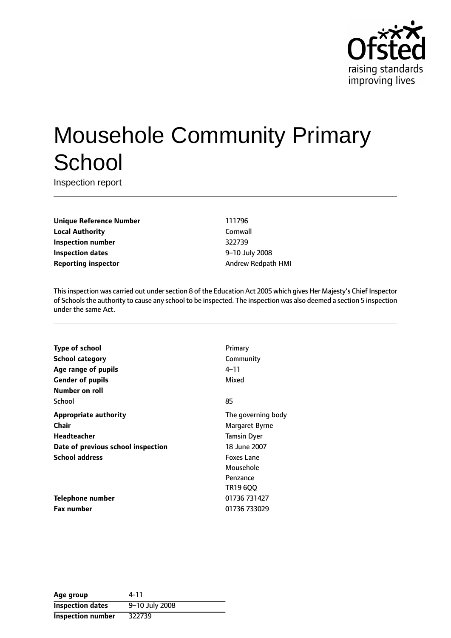

# Mousehole Community Primary **School**

Inspection report

**Unique Reference Number** 111796 **Local Authority** Cornwall **Inspection number** 322739 **Inspection dates** 9-10 July 2008 **Reporting inspector** Andrew Redpath HMI

Thisinspection was carried out undersection 8 of the Education Act 2005 which gives Her Majesty's Chief Inspector of Schoolsthe authority to cause any school to be inspected. The inspection was also deemed a section 5 inspection under the same Act.

| Type of school                     | Primary            |
|------------------------------------|--------------------|
| <b>School category</b>             | Community          |
| Age range of pupils                | 4–11               |
| <b>Gender of pupils</b>            | Mixed              |
| Number on roll                     |                    |
| School                             | 85                 |
| <b>Appropriate authority</b>       | The governing body |
| Chair                              | Margaret Byrne     |
| Headteacher                        | <b>Tamsin Dyer</b> |
| Date of previous school inspection | 18 June 2007       |
| <b>School address</b>              | <b>Foxes Lane</b>  |
|                                    | Mousehole          |
|                                    | Penzance           |
|                                    | TR19 600           |
| Telephone number                   | 01736 731427       |
| <b>Fax number</b>                  | 01736 733029       |

| Age group                | 4-11           |
|--------------------------|----------------|
| <b>Inspection dates</b>  | 9-10 July 2008 |
| <b>Inspection number</b> | 322739         |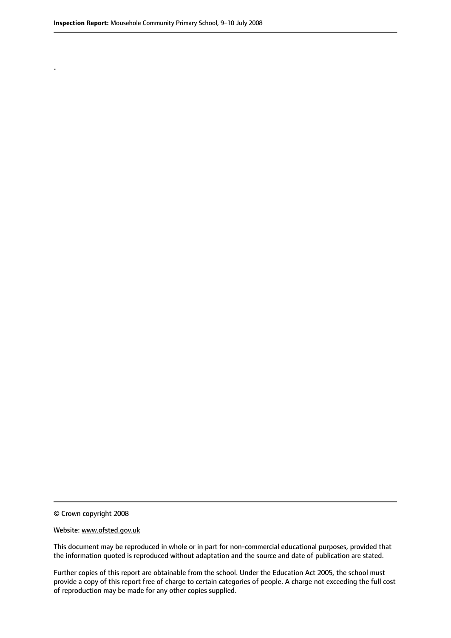.

© Crown copyright 2008

#### Website: www.ofsted.gov.uk

This document may be reproduced in whole or in part for non-commercial educational purposes, provided that the information quoted is reproduced without adaptation and the source and date of publication are stated.

Further copies of this report are obtainable from the school. Under the Education Act 2005, the school must provide a copy of this report free of charge to certain categories of people. A charge not exceeding the full cost of reproduction may be made for any other copies supplied.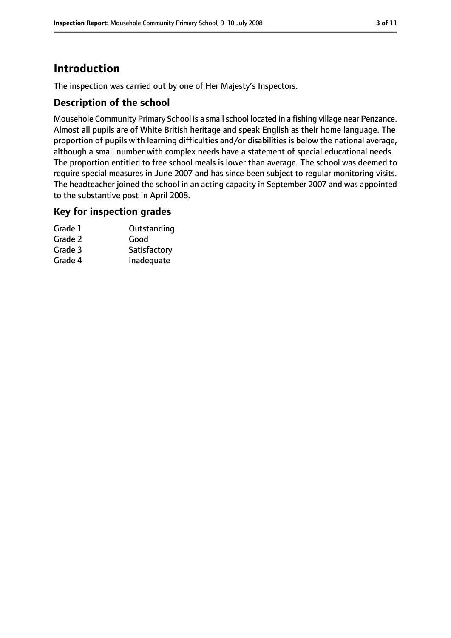# **Introduction**

The inspection was carried out by one of Her Majesty's Inspectors.

## **Description of the school**

Mousehole Community Primary School is a smallschool located in a fishing village near Penzance. Almost all pupils are of White British heritage and speak English as their home language. The proportion of pupils with learning difficulties and/or disabilities is below the national average, although a small number with complex needs have a statement of special educational needs. The proportion entitled to free school meals is lower than average. The school was deemed to require special measures in June 2007 and has since been subject to regular monitoring visits. The headteacher joined the school in an acting capacity in September 2007 and was appointed to the substantive post in April 2008.

### **Key for inspection grades**

| Grade 1 | Outstanding  |
|---------|--------------|
| Grade 2 | Good         |
| Grade 3 | Satisfactory |
| Grade 4 | Inadequate   |
|         |              |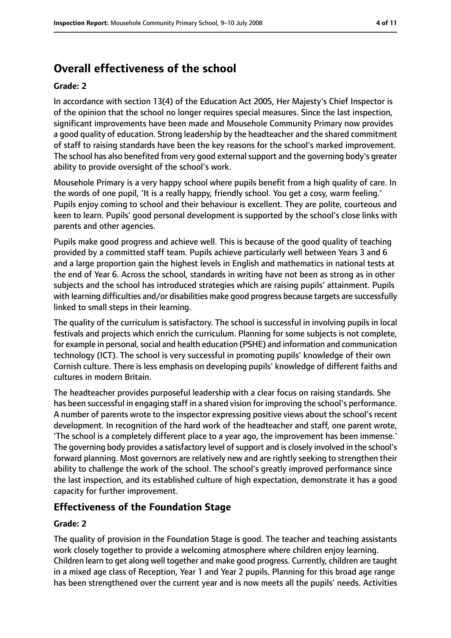# **Overall effectiveness of the school**

#### **Grade: 2**

In accordance with section 13(4) of the Education Act 2005, Her Majesty's Chief Inspector is of the opinion that the school no longer requires special measures. Since the last inspection, significant improvements have been made and Mousehole Community Primary now provides a good quality of education. Strong leadership by the headteacher and the shared commitment of staff to raising standards have been the key reasons for the school's marked improvement. The school has also benefited from very good external support and the governing body's greater ability to provide oversight of the school's work.

Mousehole Primary is a very happy school where pupils benefit from a high quality of care. In the words of one pupil, 'It is a really happy, friendly school. You get a cosy, warm feeling.' Pupils enjoy coming to school and their behaviour is excellent. They are polite, courteous and keen to learn. Pupils' good personal development is supported by the school's close links with parents and other agencies.

Pupils make good progress and achieve well. This is because of the good quality of teaching provided by a committed staff team. Pupils achieve particularly well between Years 3 and 6 and a large proportion gain the highest levels in English and mathematics in national tests at the end of Year 6. Across the school, standards in writing have not been as strong as in other subjects and the school has introduced strategies which are raising pupils' attainment. Pupils with learning difficulties and/or disabilities make good progress because targets are successfully linked to small steps in their learning.

The quality of the curriculum is satisfactory. The school is successful in involving pupils in local festivals and projects which enrich the curriculum. Planning for some subjects is not complete, for example in personal, social and health education (PSHE) and information and communication technology (ICT). The school is very successful in promoting pupils' knowledge of their own Cornish culture. There is less emphasis on developing pupils' knowledge of different faiths and cultures in modern Britain.

The headteacher provides purposeful leadership with a clear focus on raising standards. She has been successful in engaging staff in a shared vision for improving the school's performance. A number of parents wrote to the inspector expressing positive views about the school's recent development. In recognition of the hard work of the headteacher and staff, one parent wrote, 'The school is a completely different place to a year ago, the improvement has been immense.' The governing body provides a satisfactory level of support and is closely involved in the school's forward planning. Most governors are relatively new and are rightly seeking to strengthen their ability to challenge the work of the school. The school's greatly improved performance since the last inspection, and its established culture of high expectation, demonstrate it has a good capacity for further improvement.

## **Effectiveness of the Foundation Stage**

#### **Grade: 2**

The quality of provision in the Foundation Stage is good. The teacher and teaching assistants work closely together to provide a welcoming atmosphere where children enjoy learning. Children learn to get along well together and make good progress. Currently, children are taught in a mixed age class of Reception, Year 1 and Year 2 pupils. Planning for this broad age range has been strengthened over the current year and is now meets all the pupils' needs. Activities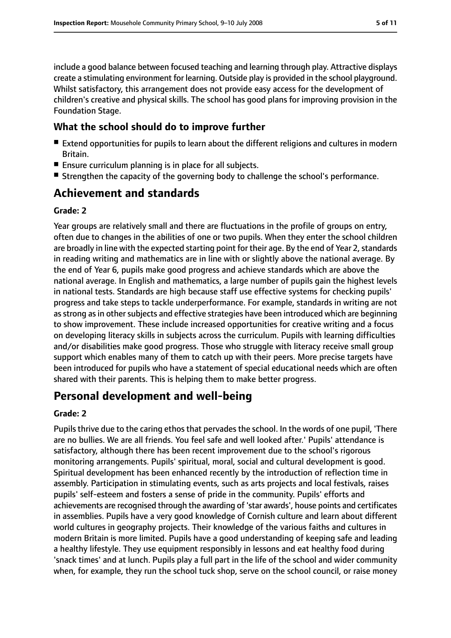include a good balance between focused teaching and learning through play. Attractive displays create a stimulating environment for learning. Outside play is provided in the school playground. Whilst satisfactory, this arrangement does not provide easy access for the development of children's creative and physical skills. The school has good plans for improving provision in the Foundation Stage.

## **What the school should do to improve further**

- Extend opportunities for pupils to learn about the different religions and cultures in modern Britain.
- Ensure curriculum planning is in place for all subjects.
- Strengthen the capacity of the governing body to challenge the school's performance.

# **Achievement and standards**

### **Grade: 2**

Year groups are relatively small and there are fluctuations in the profile of groups on entry, often due to changes in the abilities of one or two pupils. When they enter the school children are broadly in line with the expected starting point for their age. By the end of Year 2, standards in reading writing and mathematics are in line with or slightly above the national average. By the end of Year 6, pupils make good progress and achieve standards which are above the national average. In English and mathematics, a large number of pupils gain the highest levels in national tests. Standards are high because staff use effective systems for checking pupils' progress and take steps to tackle underperformance. For example, standards in writing are not as strong as in other subjects and effective strategies have been introduced which are beginning to show improvement. These include increased opportunities for creative writing and a focus on developing literacy skills in subjects across the curriculum. Pupils with learning difficulties and/or disabilities make good progress. Those who struggle with literacy receive small group support which enables many of them to catch up with their peers. More precise targets have been introduced for pupils who have a statement of special educational needs which are often shared with their parents. This is helping them to make better progress.

# **Personal development and well-being**

#### **Grade: 2**

Pupils thrive due to the caring ethos that pervades the school. In the words of one pupil, 'There are no bullies. We are all friends. You feel safe and well looked after.' Pupils' attendance is satisfactory, although there has been recent improvement due to the school's rigorous monitoring arrangements. Pupils' spiritual, moral, social and cultural development is good. Spiritual development has been enhanced recently by the introduction of reflection time in assembly. Participation in stimulating events, such as arts projects and local festivals, raises pupils' self-esteem and fosters a sense of pride in the community. Pupils' efforts and achievements are recognised through the awarding of 'star awards', house points and certificates in assemblies. Pupils have a very good knowledge of Cornish culture and learn about different world cultures in geography projects. Their knowledge of the various faiths and cultures in modern Britain is more limited. Pupils have a good understanding of keeping safe and leading a healthy lifestyle. They use equipment responsibly in lessons and eat healthy food during 'snack times' and at lunch. Pupils play a full part in the life of the school and wider community when, for example, they run the school tuck shop, serve on the school council, or raise money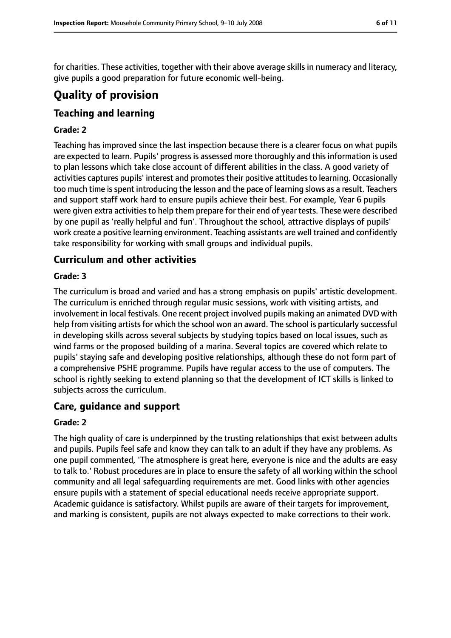for charities. These activities, together with their above average skills in numeracy and literacy, give pupils a good preparation for future economic well-being.

# **Quality of provision**

# **Teaching and learning**

#### **Grade: 2**

Teaching has improved since the last inspection because there is a clearer focus on what pupils are expected to learn. Pupils' progress is assessed more thoroughly and this information is used to plan lessons which take close account of different abilities in the class. A good variety of activities captures pupils' interest and promotes their positive attitudes to learning. Occasionally too much time isspent introducing the lesson and the pace of learning slows as a result. Teachers and support staff work hard to ensure pupils achieve their best. For example, Year 6 pupils were given extra activities to help them prepare for their end of year tests. These were described by one pupil as 'really helpful and fun'. Throughout the school, attractive displays of pupils' work create a positive learning environment. Teaching assistants are well trained and confidently take responsibility for working with small groups and individual pupils.

## **Curriculum and other activities**

#### **Grade: 3**

The curriculum is broad and varied and has a strong emphasis on pupils' artistic development. The curriculum is enriched through regular music sessions, work with visiting artists, and involvement in local festivals. One recent project involved pupils making an animated DVD with help from visiting artists for which the school won an award. The school is particularly successful in developing skills across several subjects by studying topics based on local issues, such as wind farms or the proposed building of a marina. Several topics are covered which relate to pupils' staying safe and developing positive relationships, although these do not form part of a comprehensive PSHE programme. Pupils have regular access to the use of computers. The school is rightly seeking to extend planning so that the development of ICT skills is linked to subjects across the curriculum.

### **Care, guidance and support**

### **Grade: 2**

The high quality of care is underpinned by the trusting relationships that exist between adults and pupils. Pupils feel safe and know they can talk to an adult if they have any problems. As one pupil commented, 'The atmosphere is great here, everyone is nice and the adults are easy to talk to.' Robust procedures are in place to ensure the safety of all working within the school community and all legal safeguarding requirements are met. Good links with other agencies ensure pupils with a statement of special educational needs receive appropriate support. Academic guidance is satisfactory. Whilst pupils are aware of their targets for improvement, and marking is consistent, pupils are not always expected to make corrections to their work.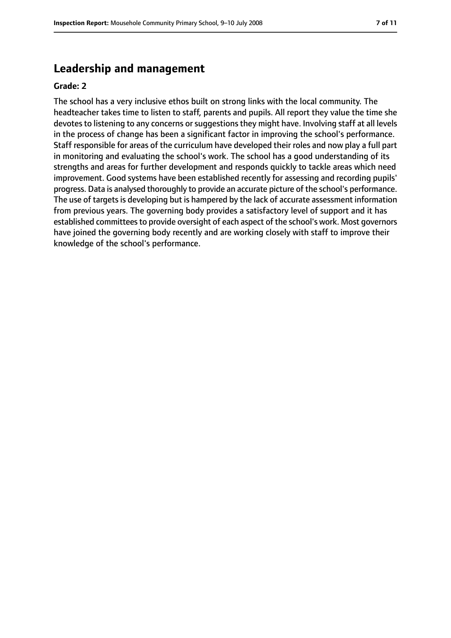## **Leadership and management**

#### **Grade: 2**

The school has a very inclusive ethos built on strong links with the local community. The headteacher takes time to listen to staff, parents and pupils. All report they value the time she devotes to listening to any concerns or suggestions they might have. Involving staff at all levels in the process of change has been a significant factor in improving the school's performance. Staff responsible for areas of the curriculum have developed their roles and now play a full part in monitoring and evaluating the school's work. The school has a good understanding of its strengths and areas for further development and responds quickly to tackle areas which need improvement. Good systems have been established recently for assessing and recording pupils' progress. Data is analysed thoroughly to provide an accurate picture of the school's performance. The use of targets is developing but is hampered by the lack of accurate assessment information from previous years. The governing body provides a satisfactory level of support and it has established committees to provide oversight of each aspect of the school's work. Most governors have joined the governing body recently and are working closely with staff to improve their knowledge of the school's performance.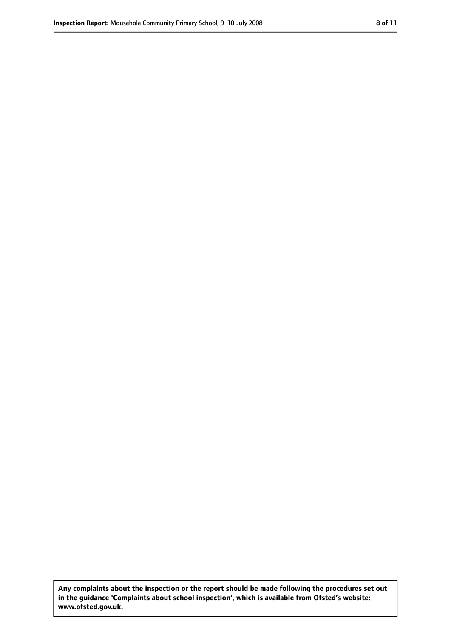**Any complaints about the inspection or the report should be made following the procedures set out in the guidance 'Complaints about school inspection', which is available from Ofsted's website: www.ofsted.gov.uk.**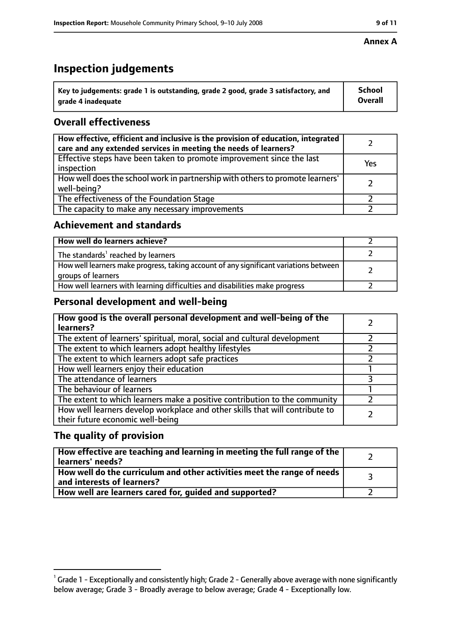# **Inspection judgements**

| $\dot{~}$ Key to judgements: grade 1 is outstanding, grade 2 good, grade 3 satisfactory, and | <b>School</b>  |
|----------------------------------------------------------------------------------------------|----------------|
| arade 4 inadequate                                                                           | <b>Overall</b> |

# **Overall effectiveness**

| How effective, efficient and inclusive is the provision of education, integrated<br>care and any extended services in meeting the needs of learners? |     |
|------------------------------------------------------------------------------------------------------------------------------------------------------|-----|
| Effective steps have been taken to promote improvement since the last<br>inspection                                                                  | Yes |
| How well does the school work in partnership with others to promote learners'<br>well-being?                                                         |     |
| The effectiveness of the Foundation Stage                                                                                                            |     |
| The capacity to make any necessary improvements                                                                                                      |     |

### **Achievement and standards**

| How well do learners achieve?                                                                               |  |
|-------------------------------------------------------------------------------------------------------------|--|
| The standards <sup>1</sup> reached by learners                                                              |  |
| How well learners make progress, taking account of any significant variations between<br>groups of learners |  |
| How well learners with learning difficulties and disabilities make progress                                 |  |

## **Personal development and well-being**

| How good is the overall personal development and well-being of the<br>learners?                                  |  |
|------------------------------------------------------------------------------------------------------------------|--|
| The extent of learners' spiritual, moral, social and cultural development                                        |  |
| The extent to which learners adopt healthy lifestyles                                                            |  |
| The extent to which learners adopt safe practices                                                                |  |
| How well learners enjoy their education                                                                          |  |
| The attendance of learners                                                                                       |  |
| The behaviour of learners                                                                                        |  |
| The extent to which learners make a positive contribution to the community                                       |  |
| How well learners develop workplace and other skills that will contribute to<br>their future economic well-being |  |

## **The quality of provision**

| How effective are teaching and learning in meeting the full range of the<br>learners' needs?                        |  |
|---------------------------------------------------------------------------------------------------------------------|--|
| $\mid$ How well do the curriculum and other activities meet the range of needs $\mid$<br>and interests of learners? |  |
| How well are learners cared for, quided and supported?                                                              |  |

 $^1$  Grade 1 - Exceptionally and consistently high; Grade 2 - Generally above average with none significantly below average; Grade 3 - Broadly average to below average; Grade 4 - Exceptionally low.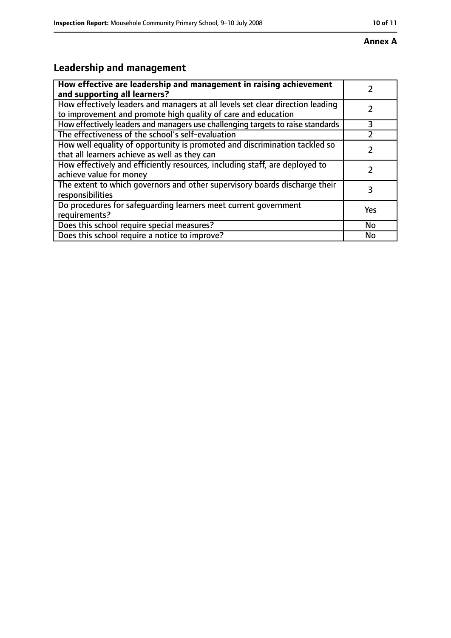#### **Annex A**

# **Leadership and management**

| How effective are leadership and management in raising achievement<br>and supporting all learners?                                              |     |
|-------------------------------------------------------------------------------------------------------------------------------------------------|-----|
| How effectively leaders and managers at all levels set clear direction leading<br>to improvement and promote high quality of care and education |     |
| How effectively leaders and managers use challenging targets to raise standards                                                                 | 3   |
| The effectiveness of the school's self-evaluation                                                                                               |     |
| How well equality of opportunity is promoted and discrimination tackled so<br>that all learners achieve as well as they can                     |     |
| How effectively and efficiently resources, including staff, are deployed to<br>achieve value for money                                          |     |
| The extent to which governors and other supervisory boards discharge their<br>responsibilities                                                  | 3   |
| Do procedures for safequarding learners meet current government<br>requirements?                                                                | Yes |
| Does this school require special measures?                                                                                                      | No  |
| Does this school require a notice to improve?                                                                                                   | No  |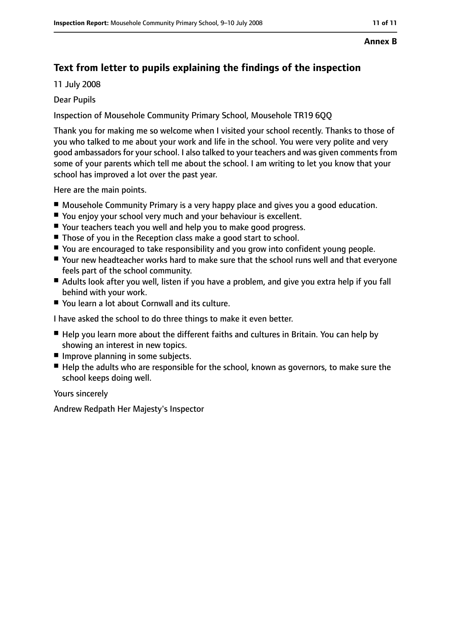#### **Annex B**

# **Text from letter to pupils explaining the findings of the inspection**

11 July 2008

#### Dear Pupils

Inspection of Mousehole Community Primary School, Mousehole TR19 6QQ

Thank you for making me so welcome when I visited your school recently. Thanks to those of you who talked to me about your work and life in the school. You were very polite and very good ambassadors for your school. I also talked to your teachers and was given comments from some of your parents which tell me about the school. I am writing to let you know that your school has improved a lot over the past year.

Here are the main points.

- Mousehole Community Primary is a very happy place and gives you a good education.
- You enjoy your school very much and your behaviour is excellent.
- Your teachers teach you well and help you to make good progress.
- Those of you in the Reception class make a good start to school.
- You are encouraged to take responsibility and you grow into confident young people.
- Your new headteacher works hard to make sure that the school runs well and that everyone feels part of the school community.
- Adults look after you well, listen if you have a problem, and give you extra help if you fall behind with your work.
- You learn a lot about Cornwall and its culture.

I have asked the school to do three things to make it even better.

- Help you learn more about the different faiths and cultures in Britain. You can help by showing an interest in new topics.
- Improve planning in some subjects.
- Help the adults who are responsible for the school, known as governors, to make sure the school keeps doing well.

Yours sincerely

Andrew Redpath Her Majesty's Inspector